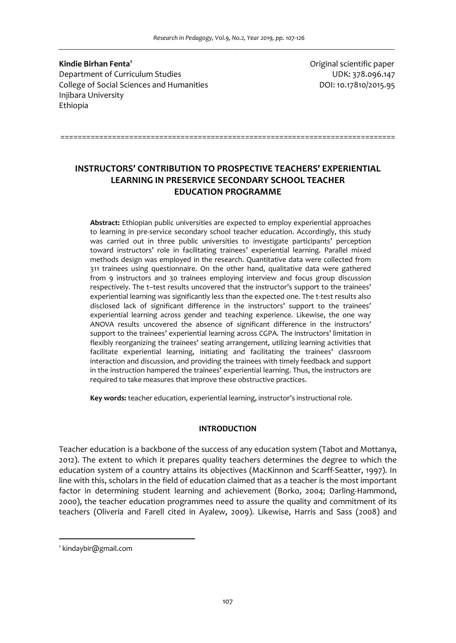**Kindie Birhan Fenta<sup>1</sup>** Department of Curriculum Studies UDK: 378.096.147 College of Social Sciences and Humanities **DOI: 10.17810/2015.95** Injibara University Ethiopia

Original scientific paper

# **INSTRUCTORS' CONTRIBUTION TO PROSPECTIVE TEACHERS' EXPERIENTIAL LEARNING IN PRESERVICE SECONDARY SCHOOL TEACHER EDUCATION PROGRAMME**

==============================================================================

**Abstract:** Ethiopian public universities are expected to employ experiential approaches to learning in pre-service secondary school teacher education. Accordingly, this study was carried out in three public universities to investigate participants' perception toward instructors' role in facilitating trainees' experiential learning. Parallel mixed methods design was employed in the research. Quantitative data were collected from 311 trainees using questionnaire. On the other hand, qualitative data were gathered from 9 instructors and 30 trainees employing interview and focus group discussion respectively. The t–test results uncovered that the instructor's support to the trainees' experiential learning was significantly less than the expected one. The t-test results also disclosed lack of significant difference in the instructors' support to the trainees' experiential learning across gender and teaching experience. Likewise, the one way ANOVA results uncovered the absence of significant difference in the instructors' support to the trainees' experiential learning across CGPA. The instructors' limitation in flexibly reorganizing the trainees' seating arrangement, utilizing learning activities that facilitate experiential learning, initiating and facilitating the trainees' classroom interaction and discussion, and providing the trainees with timely feedback and support in the instruction hampered the trainees' experiential learning. Thus, the instructors are required to take measures that improve these obstructive practices.

**Key words:** teacher education, experiential learning, instructor's instructional role.

#### **INTRODUCTION**

Teacher education is a backbone of the success of any education system (Tabot and Mottanya, 2012). The extent to which it prepares quality teachers determines the degree to which the education system of a country attains its objectives (MacKinnon and Scarff-Seatter, 1997). In line with this, scholars in the field of education claimed that as a teacher is the most important factor in determining student learning and achievement (Borko, 2004; Darling-Hammond, 2000), the teacher education programmes need to assure the quality and commitment of its teachers (Oliveria and Farell cited in Ayalew, 2009). Likewise, Harris and Sass (2008) and

 $\overline{a}$ 

<sup>1</sup> kindaybir@gmail.com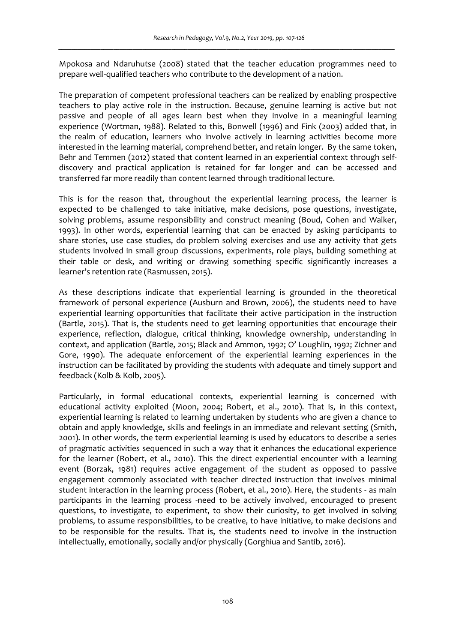Mpokosa and Ndaruhutse (2008) stated that the teacher education programmes need to prepare well-qualified teachers who contribute to the development of a nation.

The preparation of competent professional teachers can be realized by enabling prospective teachers to play active role in the instruction. Because, genuine learning is active but not passive and people of all ages learn best when they involve in a meaningful learning experience (Wortman, 1988). Related to this, Bonwell (1996) and Fink (2003) added that, in the realm of education, learners who involve actively in learning activities become more interested in the learning material, comprehend better, and retain longer. By the same token, Behr and Temmen (2012) stated that content learned in an experiential context through selfdiscovery and practical application is retained for far longer and can be accessed and transferred far more readily than content learned through traditional lecture.

This is for the reason that, throughout the experiential learning process, the learner is expected to be challenged to take initiative, make decisions, pose questions, investigate, solving problems, assume responsibility and construct meaning (Boud, Cohen and Walker, 1993). In other words, experiential learning that can be enacted by asking participants to share stories, use case studies, do problem solving exercises and use any activity that gets students involved in small group discussions, experiments, role plays, building something at their table or desk, and writing or drawing something specific significantly increases a learner's retention rate (Rasmussen, 2015).

As these descriptions indicate that experiential learning is grounded in the theoretical framework of personal experience (Ausburn and Brown, 2006), the students need to have experiential learning opportunities that facilitate their active participation in the instruction (Bartle, 2015). That is, the students need to get learning opportunities that encourage their experience, reflection, dialogue, critical thinking, knowledge ownership, understanding in context, and application (Bartle, 2015; Black and Ammon, 1992; O' Loughlin, 1992; Zichner and Gore, 1990). The adequate enforcement of the experiential learning experiences in the instruction can be facilitated by providing the students with adequate and timely support and feedback (Kolb & Kolb, 2005).

Particularly, in formal educational contexts, experiential learning is concerned with educational activity exploited (Moon, 2004; Robert, et al., 2010). That is, in this context, experiential learning is related to learning undertaken by students who are given a chance to obtain and apply knowledge, skills and feelings in an immediate and relevant setting (Smith, 2001). In other words, the term experiential learning is used by educators to describe a series of pragmatic activities sequenced in such a way that it enhances the educational experience for the learner (Robert, et al., 2010). This the direct experiential encounter with a learning event (Borzak, 1981) requires active engagement of the student as opposed to passive engagement commonly associated with teacher directed instruction that involves minimal student interaction in the learning process (Robert, et al., 2010). Here, the students - as main participants in the learning process -need to be actively involved, encouraged to present questions, to investigate, to experiment, to show their curiosity, to get involved in solving problems, to assume responsibilities, to be creative, to have initiative, to make decisions and to be responsible for the results. That is, the students need to involve in the instruction intellectually, emotionally, socially and/or physically (Gorghiua and Santib, 2016).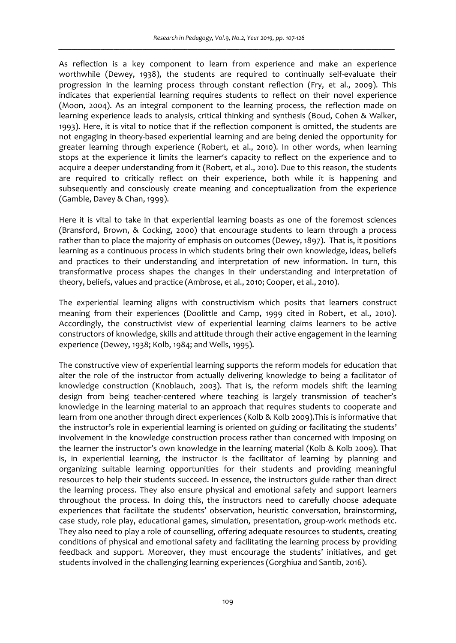As reflection is a key component to learn from experience and make an experience worthwhile (Dewey, 1938), the students are required to continually self-evaluate their progression in the learning process through constant reflection (Fry, et al., 2009). This indicates that experiential learning requires students to reflect on their novel experience (Moon, 2004). As an integral component to the learning process, the reflection made on learning experience leads to analysis, critical thinking and synthesis (Boud, Cohen & Walker, 1993). Here, it is vital to notice that if the reflection component is omitted, the students are not engaging in theory-based experiential learning and are being denied the opportunity for greater learning through experience (Robert, et al., 2010). In other words, when learning stops at the experience it limits the learner's capacity to reflect on the experience and to acquire a deeper understanding from it (Robert, et al., 2010). Due to this reason, the students are required to critically reflect on their experience, both while it is happening and subsequently and consciously create meaning and conceptualization from the experience (Gamble, Davey & Chan, 1999).

Here it is vital to take in that experiential learning boasts as one of the foremost sciences (Bransford, Brown, & Cocking, 2000) that encourage students to learn through a process rather than to place the majority of emphasis on outcomes (Dewey, 1897). That is, it positions learning as a continuous process in which students bring their own knowledge, ideas, beliefs and practices to their understanding and interpretation of new information. In turn, this transformative process shapes the changes in their understanding and interpretation of theory, beliefs, values and practice (Ambrose, et al., 2010; Cooper, et al., 2010).

The experiential learning aligns with constructivism which posits that learners construct meaning from their experiences (Doolittle and Camp, 1999 cited in Robert, et al., 2010). Accordingly, the constructivist view of experiential learning claims learners to be active constructors of knowledge, skills and attitude through their active engagement in the learning experience (Dewey, 1938; Kolb, 1984; and Wells, 1995).

The constructive view of experiential learning supports the reform models for education that alter the role of the instructor from actually delivering knowledge to being a facilitator of knowledge construction (Knoblauch, 2003). That is, the reform models shift the learning design from being teacher-centered where teaching is largely transmission of teacher's knowledge in the learning material to an approach that requires students to cooperate and learn from one another through direct experiences (Kolb & Kolb 2009).This is informative that the instructor's role in experiential learning is oriented on guiding or facilitating the students' involvement in the knowledge construction process rather than concerned with imposing on the learner the instructor's own knowledge in the learning material (Kolb & Kolb 2009). That is, in experiential learning, the instructor is the facilitator of learning by planning and organizing suitable learning opportunities for their students and providing meaningful resources to help their students succeed. In essence, the instructors guide rather than direct the learning process. They also ensure physical and emotional safety and support learners throughout the process. In doing this, the instructors need to carefully choose adequate experiences that facilitate the students' observation, heuristic conversation, brainstorming, case study, role play, educational games, simulation, presentation, group-work methods etc. They also need to play a role of counselling, offering adequate resources to students, creating conditions of physical and emotional safety and facilitating the learning process by providing feedback and support. Moreover, they must encourage the students' initiatives, and get students involved in the challenging learning experiences (Gorghiua and Santib, 2016).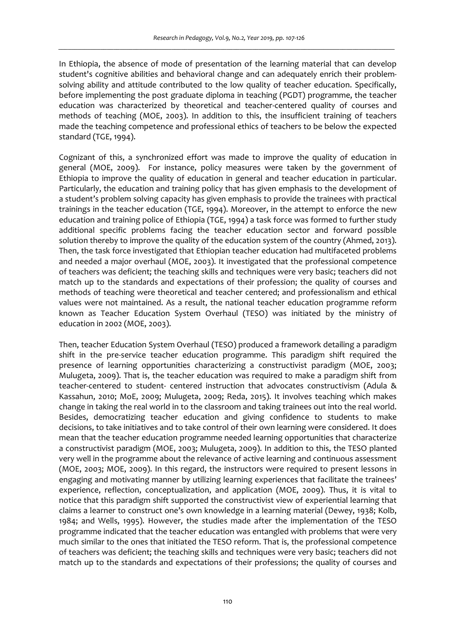In Ethiopia, the absence of mode of presentation of the learning material that can develop student's cognitive abilities and behavioral change and can adequately enrich their problemsolving ability and attitude contributed to the low quality of teacher education. Specifically, before implementing the post graduate diploma in teaching (PGDT) programme, the teacher education was characterized by theoretical and teacher-centered quality of courses and methods of teaching (MOE, 2003). In addition to this, the insufficient training of teachers made the teaching competence and professional ethics of teachers to be below the expected standard (TGE, 1994).

Cognizant of this, a synchronized effort was made to improve the quality of education in general (MOE, 2009). For instance, policy measures were taken by the government of Ethiopia to improve the quality of education in general and teacher education in particular. Particularly, the education and training policy that has given emphasis to the development of a student's problem solving capacity has given emphasis to provide the trainees with practical trainings in the teacher education (TGE, 1994). Moreover, in the attempt to enforce the new education and training police of Ethiopia (TGE, 1994) a task force was formed to further study additional specific problems facing the teacher education sector and forward possible solution thereby to improve the quality of the education system of the country (Ahmed, 2013). Then, the task force investigated that Ethiopian teacher education had multifaceted problems and needed a major overhaul (MOE, 2003). It investigated that the professional competence of teachers was deficient; the teaching skills and techniques were very basic; teachers did not match up to the standards and expectations of their profession; the quality of courses and methods of teaching were theoretical and teacher centered; and professionalism and ethical values were not maintained. As a result, the national teacher education programme reform known as Teacher Education System Overhaul (TESO) was initiated by the ministry of education in 2002 (MOE, 2003).

Then, teacher Education System Overhaul (TESO) produced a framework detailing a paradigm shift in the pre-service teacher education programme. This paradigm shift required the presence of learning opportunities characterizing a constructivist paradigm (MOE, 2003; Mulugeta, 2009). That is, the teacher education was required to make a paradigm shift from teacher-centered to student- centered instruction that advocates constructivism (Adula & Kassahun, 2010; MoE, 2009; Mulugeta, 2009; Reda, 2015). It involves teaching which makes change in taking the real world in to the classroom and taking trainees out into the real world. Besides, democratizing teacher education and giving confidence to students to make decisions, to take initiatives and to take control of their own learning were considered. It does mean that the teacher education programme needed learning opportunities that characterize a constructivist paradigm (MOE, 2003; Mulugeta, 2009). In addition to this, the TESO planted very well in the programme about the relevance of active learning and continuous assessment (MOE, 2003; MOE, 2009). In this regard, the instructors were required to present lessons in engaging and motivating manner by utilizing learning experiences that facilitate the trainees' experience, reflection, conceptualization, and application (MOE, 2009). Thus, it is vital to notice that this paradigm shift supported the constructivist view of experiential learning that claims a learner to construct one's own knowledge in a learning material (Dewey, 1938; Kolb, 1984; and Wells, 1995). However, the studies made after the implementation of the TESO programme indicated that the teacher education was entangled with problems that were very much similar to the ones that initiated the TESO reform. That is, the professional competence of teachers was deficient; the teaching skills and techniques were very basic; teachers did not match up to the standards and expectations of their professions; the quality of courses and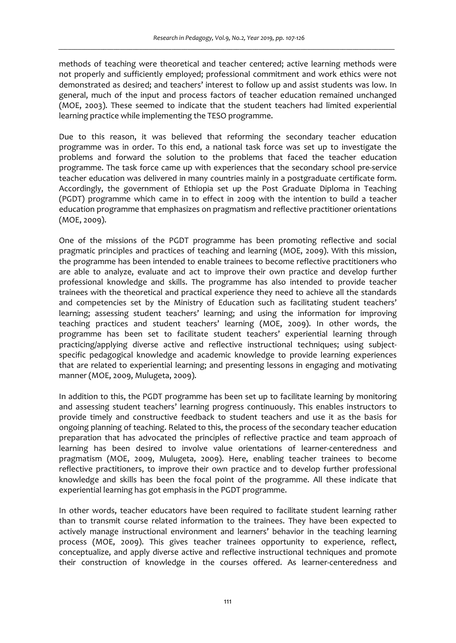methods of teaching were theoretical and teacher centered; active learning methods were not properly and sufficiently employed; professional commitment and work ethics were not demonstrated as desired; and teachers' interest to follow up and assist students was low. In general, much of the input and process factors of teacher education remained unchanged (MOE, 2003). These seemed to indicate that the student teachers had limited experiential learning practice while implementing the TESO programme.

Due to this reason, it was believed that reforming the secondary teacher education programme was in order. To this end, a national task force was set up to investigate the problems and forward the solution to the problems that faced the teacher education programme. The task force came up with experiences that the secondary school pre-service teacher education was delivered in many countries mainly in a postgraduate certificate form. Accordingly, the government of Ethiopia set up the Post Graduate Diploma in Teaching (PGDT) programme which came in to effect in 2009 with the intention to build a teacher education programme that emphasizes on pragmatism and reflective practitioner orientations (MOE, 2009).

One of the missions of the PGDT programme has been promoting reflective and social pragmatic principles and practices of teaching and learning (MOE, 2009). With this mission, the programme has been intended to enable trainees to become reflective practitioners who are able to analyze, evaluate and act to improve their own practice and develop further professional knowledge and skills. The programme has also intended to provide teacher trainees with the theoretical and practical experience they need to achieve all the standards and competencies set by the Ministry of Education such as facilitating student teachers' learning; assessing student teachers' learning; and using the information for improving teaching practices and student teachers' learning (MOE, 2009). In other words, the programme has been set to facilitate student teachers' experiential learning through practicing/applying diverse active and reflective instructional techniques; using subjectspecific pedagogical knowledge and academic knowledge to provide learning experiences that are related to experiential learning; and presenting lessons in engaging and motivating manner (MOE, 2009, Mulugeta, 2009).

In addition to this, the PGDT programme has been set up to facilitate learning by monitoring and assessing student teachers' learning progress continuously. This enables instructors to provide timely and constructive feedback to student teachers and use it as the basis for ongoing planning of teaching. Related to this, the process of the secondary teacher education preparation that has advocated the principles of reflective practice and team approach of learning has been desired to involve value orientations of learner-centeredness and pragmatism (MOE, 2009, Mulugeta, 2009). Here, enabling teacher trainees to become reflective practitioners, to improve their own practice and to develop further professional knowledge and skills has been the focal point of the programme. All these indicate that experiential learning has got emphasis in the PGDT programme.

In other words, teacher educators have been required to facilitate student learning rather than to transmit course related information to the trainees. They have been expected to actively manage instructional environment and learners' behavior in the teaching learning process (MOE, 2009). This gives teacher trainees opportunity to experience, reflect, conceptualize, and apply diverse active and reflective instructional techniques and promote their construction of knowledge in the courses offered. As learner-centeredness and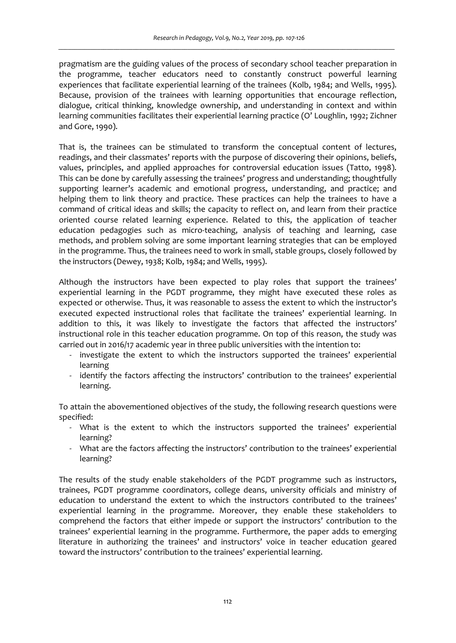pragmatism are the guiding values of the process of secondary school teacher preparation in the programme, teacher educators need to constantly construct powerful learning experiences that facilitate experiential learning of the trainees (Kolb, 1984; and Wells, 1995). Because, provision of the trainees with learning opportunities that encourage reflection, dialogue, critical thinking, knowledge ownership, and understanding in context and within learning communities facilitates their experiential learning practice (O' Loughlin, 1992; Zichner and Gore, 1990).

That is, the trainees can be stimulated to transform the conceptual content of lectures, readings, and their classmates' reports with the purpose of discovering their opinions, beliefs, values, principles, and applied approaches for controversial education issues (Tatto, 1998). This can be done by carefully assessing the trainees' progress and understanding; thoughtfully supporting learner's academic and emotional progress, understanding, and practice; and helping them to link theory and practice. These practices can help the trainees to have a command of critical ideas and skills; the capacity to reflect on, and learn from their practice oriented course related learning experience. Related to this, the application of teacher education pedagogies such as micro-teaching, analysis of teaching and learning, case methods, and problem solving are some important learning strategies that can be employed in the programme. Thus, the trainees need to work in small, stable groups, closely followed by the instructors (Dewey, 1938; Kolb, 1984; and Wells, 1995).

Although the instructors have been expected to play roles that support the trainees' experiential learning in the PGDT programme, they might have executed these roles as expected or otherwise. Thus, it was reasonable to assess the extent to which the instructor's executed expected instructional roles that facilitate the trainees' experiential learning. In addition to this, it was likely to investigate the factors that affected the instructors' instructional role in this teacher education programme. On top of this reason, the study was carried out in 2016/17 academic year in three public universities with the intention to:

- investigate the extent to which the instructors supported the trainees' experiential learning
- identify the factors affecting the instructors' contribution to the trainees' experiential learning.

To attain the abovementioned objectives of the study, the following research questions were specified:

- What is the extent to which the instructors supported the trainees' experiential learning?
- What are the factors affecting the instructors' contribution to the trainees' experiential learning?

The results of the study enable stakeholders of the PGDT programme such as instructors, trainees, PGDT programme coordinators, college deans, university officials and ministry of education to understand the extent to which the instructors contributed to the trainees' experiential learning in the programme. Moreover, they enable these stakeholders to comprehend the factors that either impede or support the instructors' contribution to the trainees' experiential learning in the programme. Furthermore, the paper adds to emerging literature in authorizing the trainees' and instructors' voice in teacher education geared toward the instructors' contribution to the trainees' experiential learning.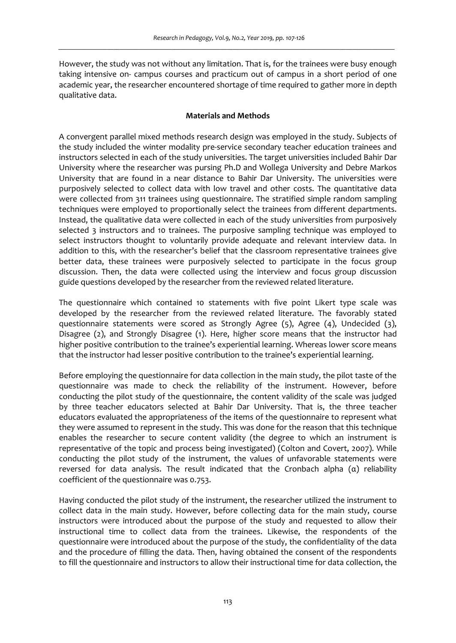However, the study was not without any limitation. That is, for the trainees were busy enough taking intensive on- campus courses and practicum out of campus in a short period of one academic year, the researcher encountered shortage of time required to gather more in depth qualitative data.

# **Materials and Methods**

A convergent parallel mixed methods research design was employed in the study. Subjects of the study included the winter modality pre-service secondary teacher education trainees and instructors selected in each of the study universities. The target universities included Bahir Dar University where the researcher was pursing Ph.D and Wollega University and Debre Markos University that are found in a near distance to Bahir Dar University. The universities were purposively selected to collect data with low travel and other costs. The quantitative data were collected from 311 trainees using questionnaire. The stratified simple random sampling techniques were employed to proportionally select the trainees from different departments. Instead, the qualitative data were collected in each of the study universities from purposively selected 3 instructors and 10 trainees. The purposive sampling technique was employed to select instructors thought to voluntarily provide adequate and relevant interview data. In addition to this, with the researcher's belief that the classroom representative trainees give better data, these trainees were purposively selected to participate in the focus group discussion. Then, the data were collected using the interview and focus group discussion guide questions developed by the researcher from the reviewed related literature.

The questionnaire which contained 10 statements with five point Likert type scale was developed by the researcher from the reviewed related literature. The favorably stated questionnaire statements were scored as Strongly Agree (5), Agree (4), Undecided (3), Disagree (2), and Strongly Disagree (1). Here, higher score means that the instructor had higher positive contribution to the trainee's experiential learning. Whereas lower score means that the instructor had lesser positive contribution to the trainee's experiential learning.

Before employing the questionnaire for data collection in the main study, the pilot taste of the questionnaire was made to check the reliability of the instrument. However, before conducting the pilot study of the questionnaire, the content validity of the scale was judged by three teacher educators selected at Bahir Dar University. That is, the three teacher educators evaluated the appropriateness of the items of the questionnaire to represent what they were assumed to represent in the study. This was done for the reason that this technique enables the researcher to secure content validity (the degree to which an instrument is representative of the topic and process being investigated) (Colton and Covert, 2007). While conducting the pilot study of the instrument, the values of unfavorable statements were reversed for data analysis. The result indicated that the Cronbach alpha  $(\alpha)$  reliability coefficient of the questionnaire was 0.753.

Having conducted the pilot study of the instrument, the researcher utilized the instrument to collect data in the main study. However, before collecting data for the main study, course instructors were introduced about the purpose of the study and requested to allow their instructional time to collect data from the trainees. Likewise, the respondents of the questionnaire were introduced about the purpose of the study, the confidentiality of the data and the procedure of filling the data. Then, having obtained the consent of the respondents to fill the questionnaire and instructors to allow their instructional time for data collection, the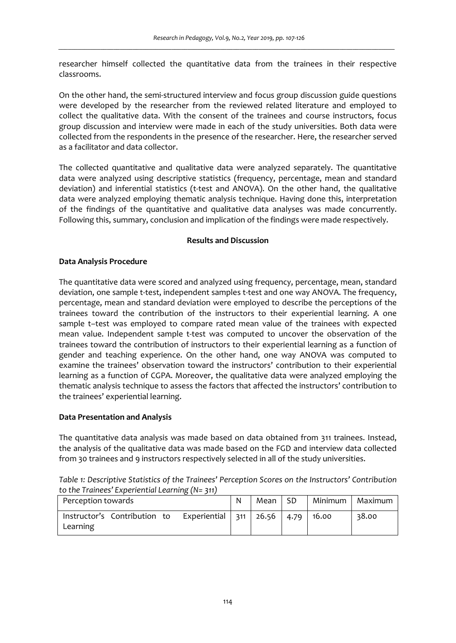researcher himself collected the quantitative data from the trainees in their respective classrooms.

On the other hand, the semi-structured interview and focus group discussion guide questions were developed by the researcher from the reviewed related literature and employed to collect the qualitative data. With the consent of the trainees and course instructors, focus group discussion and interview were made in each of the study universities. Both data were collected from the respondents in the presence of the researcher. Here, the researcher served as a facilitator and data collector.

The collected quantitative and qualitative data were analyzed separately. The quantitative data were analyzed using descriptive statistics (frequency, percentage, mean and standard deviation) and inferential statistics (t-test and ANOVA). On the other hand, the qualitative data were analyzed employing thematic analysis technique. Having done this, interpretation of the findings of the quantitative and qualitative data analyses was made concurrently. Following this, summary, conclusion and implication of the findings were made respectively.

# **Results and Discussion**

## **Data Analysis Procedure**

The quantitative data were scored and analyzed using frequency, percentage, mean, standard deviation, one sample t-test, independent samples t-test and one way ANOVA. The frequency, percentage, mean and standard deviation were employed to describe the perceptions of the trainees toward the contribution of the instructors to their experiential learning. A one sample t–test was employed to compare rated mean value of the trainees with expected mean value. Independent sample t-test was computed to uncover the observation of the trainees toward the contribution of instructors to their experiential learning as a function of gender and teaching experience. On the other hand, one way ANOVA was computed to examine the trainees' observation toward the instructors' contribution to their experiential learning as a function of CGPA. Moreover, the qualitative data were analyzed employing the thematic analysis technique to assess the factors that affected the instructors' contribution to the trainees' experiential learning.

#### **Data Presentation and Analysis**

The quantitative data analysis was made based on data obtained from 311 trainees. Instead, the analysis of the qualitative data was made based on the FGD and interview data collected from 30 trainees and 9 instructors respectively selected in all of the study universities.

| Table 1: Descriptive Statistics of the Trainees' Perception Scores on the Instructors' Contribution |  |  |  |
|-----------------------------------------------------------------------------------------------------|--|--|--|
| to the Trainees' Experiential Learning ( $N = 311$ )                                                |  |  |  |

| Perception towards                                                          | N | Mean | -SD | Minimum | Maximum |
|-----------------------------------------------------------------------------|---|------|-----|---------|---------|
| Experiential 311   26.56   4.79<br>Instructor's Contribution to<br>Learning |   |      |     | 16.00   | 38.00   |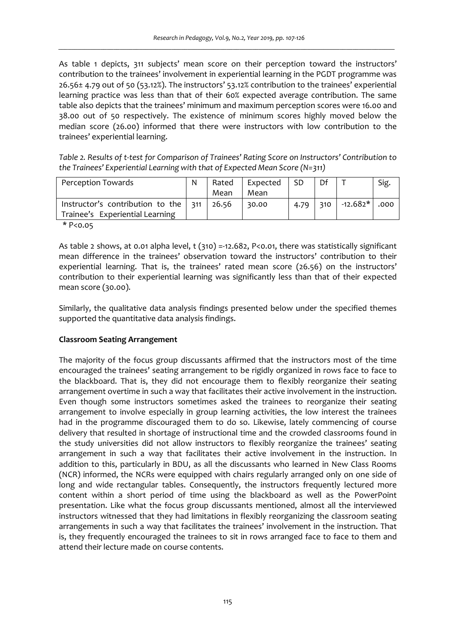As table 1 depicts, 311 subjects' mean score on their perception toward the instructors' contribution to the trainees' involvement in experiential learning in the PGDT programme was 26.56± 4.79 out of 50 (53.12%). The instructors' 53.12% contribution to the trainees' experiential learning practice was less than that of their 60% expected average contribution. The same table also depicts that the trainees' minimum and maximum perception scores were 16.00 and 38.00 out of 50 respectively. The existence of minimum scores highly moved below the median score (26.00) informed that there were instructors with low contribution to the trainees' experiential learning.

*Table 2. Results of t-test for Comparison of Trainees' Rating Score on Instructors' Contribution to the Trainees' Experiential Learning with that of Expected Mean Score (N=311)* 

| Perception Towards                                                        | N | Rated<br>Mean | Expected<br>Mean | <b>SD</b> | Df  |            | Sig. |
|---------------------------------------------------------------------------|---|---------------|------------------|-----------|-----|------------|------|
| Instructor's contribution to the   311<br>Trainee's Experiential Learning |   | 26.56         | 30.00            | 4.79      | 310 | $-12.682*$ | .000 |

 $*$  P<0.05

As table 2 shows, at 0.01 alpha level, t (310) =-12.682, P<0.01, there was statistically significant mean difference in the trainees' observation toward the instructors' contribution to their experiential learning. That is, the trainees' rated mean score (26.56) on the instructors' contribution to their experiential learning was significantly less than that of their expected mean score (30.00).

Similarly, the qualitative data analysis findings presented below under the specified themes supported the quantitative data analysis findings.

# **Classroom Seating Arrangement**

The majority of the focus group discussants affirmed that the instructors most of the time encouraged the trainees' seating arrangement to be rigidly organized in rows face to face to the blackboard. That is, they did not encourage them to flexibly reorganize their seating arrangement overtime in such a way that facilitates their active involvement in the instruction. Even though some instructors sometimes asked the trainees to reorganize their seating arrangement to involve especially in group learning activities, the low interest the trainees had in the programme discouraged them to do so. Likewise, lately commencing of course delivery that resulted in shortage of instructional time and the crowded classrooms found in the study universities did not allow instructors to flexibly reorganize the trainees' seating arrangement in such a way that facilitates their active involvement in the instruction. In addition to this, particularly in BDU, as all the discussants who learned in New Class Rooms (NCR) informed, the NCRs were equipped with chairs regularly arranged only on one side of long and wide rectangular tables. Consequently, the instructors frequently lectured more content within a short period of time using the blackboard as well as the PowerPoint presentation. Like what the focus group discussants mentioned, almost all the interviewed instructors witnessed that they had limitations in flexibly reorganizing the classroom seating arrangements in such a way that facilitates the trainees' involvement in the instruction. That is, they frequently encouraged the trainees to sit in rows arranged face to face to them and attend their lecture made on course contents.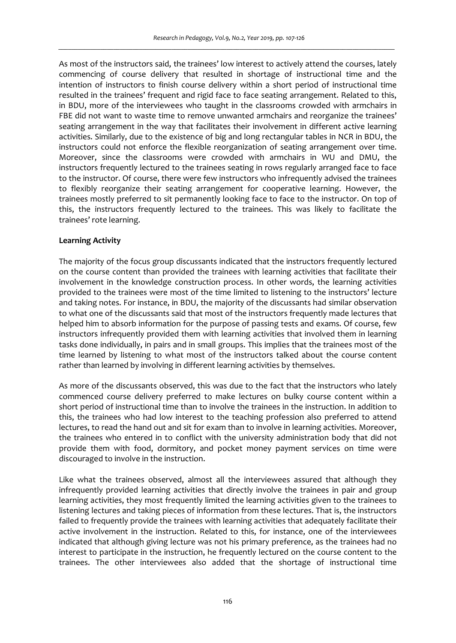As most of the instructors said, the trainees' low interest to actively attend the courses, lately commencing of course delivery that resulted in shortage of instructional time and the intention of instructors to finish course delivery within a short period of instructional time resulted in the trainees' frequent and rigid face to face seating arrangement. Related to this, in BDU, more of the interviewees who taught in the classrooms crowded with armchairs in FBE did not want to waste time to remove unwanted armchairs and reorganize the trainees' seating arrangement in the way that facilitates their involvement in different active learning activities. Similarly, due to the existence of big and long rectangular tables in NCR in BDU, the instructors could not enforce the flexible reorganization of seating arrangement over time. Moreover, since the classrooms were crowded with armchairs in WU and DMU, the instructors frequently lectured to the trainees seating in rows regularly arranged face to face to the instructor. Of course, there were few instructors who infrequently advised the trainees to flexibly reorganize their seating arrangement for cooperative learning. However, the trainees mostly preferred to sit permanently looking face to face to the instructor. On top of this, the instructors frequently lectured to the trainees. This was likely to facilitate the trainees' rote learning.

#### **Learning Activity**

The majority of the focus group discussants indicated that the instructors frequently lectured on the course content than provided the trainees with learning activities that facilitate their involvement in the knowledge construction process. In other words, the learning activities provided to the trainees were most of the time limited to listening to the instructors' lecture and taking notes. For instance, in BDU, the majority of the discussants had similar observation to what one of the discussants said that most of the instructors frequently made lectures that helped him to absorb information for the purpose of passing tests and exams. Of course, few instructors infrequently provided them with learning activities that involved them in learning tasks done individually, in pairs and in small groups. This implies that the trainees most of the time learned by listening to what most of the instructors talked about the course content rather than learned by involving in different learning activities by themselves.

As more of the discussants observed, this was due to the fact that the instructors who lately commenced course delivery preferred to make lectures on bulky course content within a short period of instructional time than to involve the trainees in the instruction. In addition to this, the trainees who had low interest to the teaching profession also preferred to attend lectures, to read the hand out and sit for exam than to involve in learning activities. Moreover, the trainees who entered in to conflict with the university administration body that did not provide them with food, dormitory, and pocket money payment services on time were discouraged to involve in the instruction.

Like what the trainees observed, almost all the interviewees assured that although they infrequently provided learning activities that directly involve the trainees in pair and group learning activities, they most frequently limited the learning activities given to the trainees to listening lectures and taking pieces of information from these lectures. That is, the instructors failed to frequently provide the trainees with learning activities that adequately facilitate their active involvement in the instruction. Related to this, for instance, one of the interviewees indicated that although giving lecture was not his primary preference, as the trainees had no interest to participate in the instruction, he frequently lectured on the course content to the trainees. The other interviewees also added that the shortage of instructional time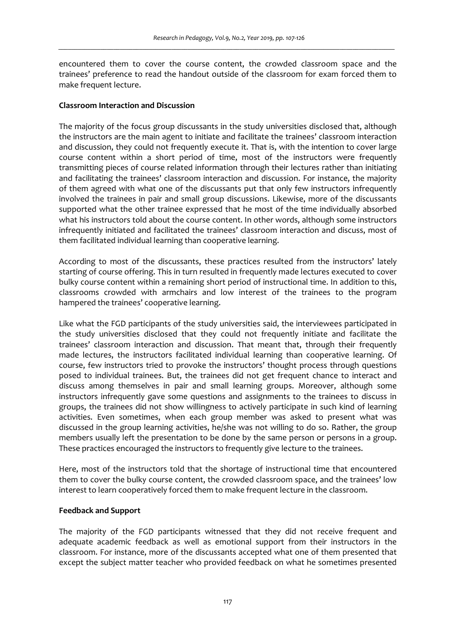encountered them to cover the course content, the crowded classroom space and the trainees' preference to read the handout outside of the classroom for exam forced them to make frequent lecture.

## **Classroom Interaction and Discussion**

The majority of the focus group discussants in the study universities disclosed that, although the instructors are the main agent to initiate and facilitate the trainees' classroom interaction and discussion, they could not frequently execute it. That is, with the intention to cover large course content within a short period of time, most of the instructors were frequently transmitting pieces of course related information through their lectures rather than initiating and facilitating the trainees' classroom interaction and discussion. For instance, the majority of them agreed with what one of the discussants put that only few instructors infrequently involved the trainees in pair and small group discussions. Likewise, more of the discussants supported what the other trainee expressed that he most of the time individually absorbed what his instructors told about the course content. In other words, although some instructors infrequently initiated and facilitated the trainees' classroom interaction and discuss, most of them facilitated individual learning than cooperative learning.

According to most of the discussants, these practices resulted from the instructors' lately starting of course offering. This in turn resulted in frequently made lectures executed to cover bulky course content within a remaining short period of instructional time. In addition to this, classrooms crowded with armchairs and low interest of the trainees to the program hampered the trainees' cooperative learning.

Like what the FGD participants of the study universities said, the interviewees participated in the study universities disclosed that they could not frequently initiate and facilitate the trainees' classroom interaction and discussion. That meant that, through their frequently made lectures, the instructors facilitated individual learning than cooperative learning. Of course, few instructors tried to provoke the instructors' thought process through questions posed to individual trainees. But, the trainees did not get frequent chance to interact and discuss among themselves in pair and small learning groups. Moreover, although some instructors infrequently gave some questions and assignments to the trainees to discuss in groups, the trainees did not show willingness to actively participate in such kind of learning activities. Even sometimes, when each group member was asked to present what was discussed in the group learning activities, he/she was not willing to do so. Rather, the group members usually left the presentation to be done by the same person or persons in a group. These practices encouraged the instructors to frequently give lecture to the trainees.

Here, most of the instructors told that the shortage of instructional time that encountered them to cover the bulky course content, the crowded classroom space, and the trainees' low interest to learn cooperatively forced them to make frequent lecture in the classroom.

# **Feedback and Support**

The majority of the FGD participants witnessed that they did not receive frequent and adequate academic feedback as well as emotional support from their instructors in the classroom. For instance, more of the discussants accepted what one of them presented that except the subject matter teacher who provided feedback on what he sometimes presented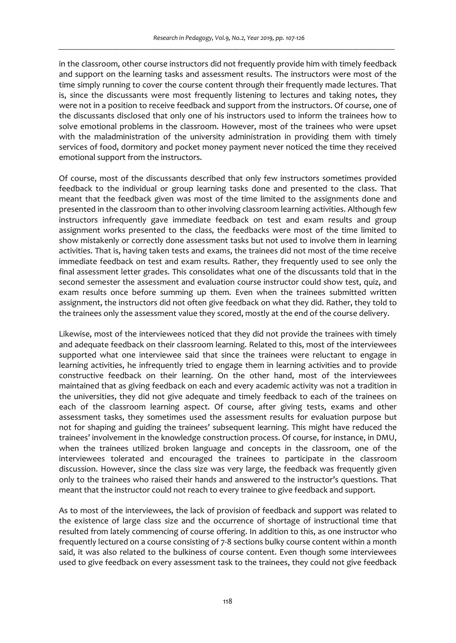in the classroom, other course instructors did not frequently provide him with timely feedback and support on the learning tasks and assessment results. The instructors were most of the time simply running to cover the course content through their frequently made lectures. That is, since the discussants were most frequently listening to lectures and taking notes, they were not in a position to receive feedback and support from the instructors. Of course, one of the discussants disclosed that only one of his instructors used to inform the trainees how to solve emotional problems in the classroom. However, most of the trainees who were upset with the maladministration of the university administration in providing them with timely services of food, dormitory and pocket money payment never noticed the time they received emotional support from the instructors.

Of course, most of the discussants described that only few instructors sometimes provided feedback to the individual or group learning tasks done and presented to the class. That meant that the feedback given was most of the time limited to the assignments done and presented in the classroom than to other involving classroom learning activities. Although few instructors infrequently gave immediate feedback on test and exam results and group assignment works presented to the class, the feedbacks were most of the time limited to show mistakenly or correctly done assessment tasks but not used to involve them in learning activities. That is, having taken tests and exams, the trainees did not most of the time receive immediate feedback on test and exam results. Rather, they frequently used to see only the final assessment letter grades. This consolidates what one of the discussants told that in the second semester the assessment and evaluation course instructor could show test, quiz, and exam results once before summing up them. Even when the trainees submitted written assignment, the instructors did not often give feedback on what they did. Rather, they told to the trainees only the assessment value they scored, mostly at the end of the course delivery.

Likewise, most of the interviewees noticed that they did not provide the trainees with timely and adequate feedback on their classroom learning. Related to this, most of the interviewees supported what one interviewee said that since the trainees were reluctant to engage in learning activities, he infrequently tried to engage them in learning activities and to provide constructive feedback on their learning. On the other hand, most of the interviewees maintained that as giving feedback on each and every academic activity was not a tradition in the universities, they did not give adequate and timely feedback to each of the trainees on each of the classroom learning aspect. Of course, after giving tests, exams and other assessment tasks, they sometimes used the assessment results for evaluation purpose but not for shaping and guiding the trainees' subsequent learning. This might have reduced the trainees' involvement in the knowledge construction process. Of course, for instance, in DMU, when the trainees utilized broken language and concepts in the classroom, one of the interviewees tolerated and encouraged the trainees to participate in the classroom discussion. However, since the class size was very large, the feedback was frequently given only to the trainees who raised their hands and answered to the instructor's questions. That meant that the instructor could not reach to every trainee to give feedback and support.

As to most of the interviewees, the lack of provision of feedback and support was related to the existence of large class size and the occurrence of shortage of instructional time that resulted from lately commencing of course offering. In addition to this, as one instructor who frequently lectured on a course consisting of 7-8 sections bulky course content within a month said, it was also related to the bulkiness of course content. Even though some interviewees used to give feedback on every assessment task to the trainees, they could not give feedback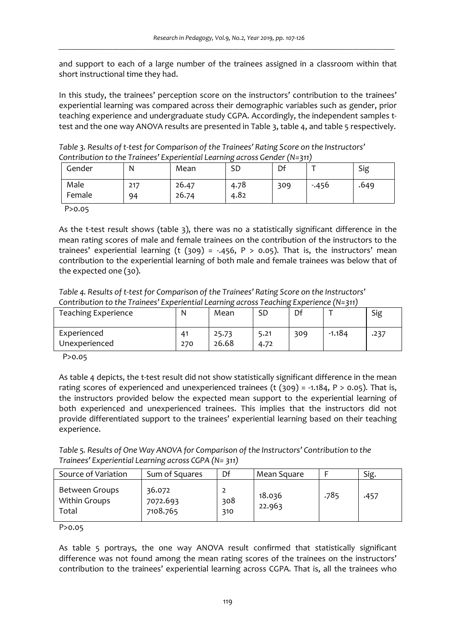and support to each of a large number of the trainees assigned in a classroom within that short instructional time they had.

In this study, the trainees' perception score on the instructors' contribution to the trainees' experiential learning was compared across their demographic variables such as gender, prior teaching experience and undergraduate study CGPA. Accordingly, the independent samples ttest and the one way ANOVA results are presented in Table 3, table 4, and table 5 respectively.

| Gender         |           | Mean           | SD           | Df  |        | Sig  |
|----------------|-----------|----------------|--------------|-----|--------|------|
| Male<br>Female | 217<br>94 | 26.47<br>26.74 | 4.78<br>4.82 | 309 | $-456$ | .649 |

*Table 3. Results of t-test for Comparison of the Trainees' Rating Score on the Instructors' Contribution to the Trainees' Experiential Learning across Gender (N=311)* 

P>0.05

As the t-test result shows (table 3), there was no a statistically significant difference in the mean rating scores of male and female trainees on the contribution of the instructors to the trainees' experiential learning (t (309) = -.456, P > 0.05). That is, the instructors' mean contribution to the experiential learning of both male and female trainees was below that of the expected one (30).

*Table 4. Results of t-test for Comparison of the Trainees' Rating Score on the Instructors' Contribution to the Trainees' Experiential Learning across Teaching Experience (N=311)* 

| Teaching Experience          | N         | Mean           | SD           | Df  |          | Sig  |
|------------------------------|-----------|----------------|--------------|-----|----------|------|
| Experienced<br>Unexperienced | 41<br>270 | 25.73<br>26.68 | 5.21<br>4.72 | 309 | $-1.184$ | .237 |

P>0.05

As table 4 depicts, the t-test result did not show statistically significant difference in the mean rating scores of experienced and unexperienced trainees (t  $(309) = -1.184$ , P > 0.05). That is, the instructors provided below the expected mean support to the experiential learning of both experienced and unexperienced trainees. This implies that the instructors did not provide differentiated support to the trainees' experiential learning based on their teaching experience.

*Table 5. Results of One Way ANOVA for Comparison of the Instructors' Contribution to the Trainees' Experiential Learning across CGPA (N= 311)* 

| Source of Variation                      | Sum of Squares                 | Df         | Mean Square      |      | Sig. |
|------------------------------------------|--------------------------------|------------|------------------|------|------|
| Between Groups<br>Within Groups<br>Total | 36.072<br>7072.693<br>7108.765 | 308<br>310 | 18.036<br>22.963 | .785 | .457 |

## P>0.05

As table 5 portrays, the one way ANOVA result confirmed that statistically significant difference was not found among the mean rating scores of the trainees on the instructors' contribution to the trainees' experiential learning across CGPA. That is, all the trainees who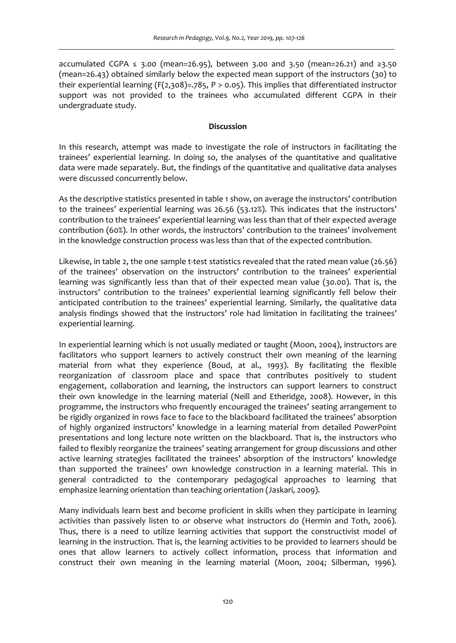accumulated CGPA  $\leq$  3.00 (mean=26.95), between 3.00 and 3.50 (mean=26.21) and  $\geq$ 3.50 (mean=26.43) obtained similarly below the expected mean support of the instructors (30) to their experiential learning ( $F(2,308) = .785$ ,  $P > 0.05$ ). This implies that differentiated instructor support was not provided to the trainees who accumulated different CGPA in their undergraduate study.

## **Discussion**

In this research, attempt was made to investigate the role of instructors in facilitating the trainees' experiential learning. In doing so, the analyses of the quantitative and qualitative data were made separately. But, the findings of the quantitative and qualitative data analyses were discussed concurrently below.

As the descriptive statistics presented in table 1 show, on average the instructors' contribution to the trainees' experiential learning was 26.56 (53.12%). This indicates that the instructors' contribution to the trainees' experiential learning was less than that of their expected average contribution (60%). In other words, the instructors' contribution to the trainees' involvement in the knowledge construction process was less than that of the expected contribution.

Likewise, in table 2, the one sample t-test statistics revealed that the rated mean value (26.56) of the trainees' observation on the instructors' contribution to the trainees' experiential learning was significantly less than that of their expected mean value (30.00). That is, the instructors' contribution to the trainees' experiential learning significantly fell below their anticipated contribution to the trainees' experiential learning. Similarly, the qualitative data analysis findings showed that the instructors' role had limitation in facilitating the trainees' experiential learning.

In experiential learning which is not usually mediated or taught (Moon, 2004), instructors are facilitators who support learners to actively construct their own meaning of the learning material from what they experience (Boud, at al., 1993). By facilitating the flexible reorganization of classroom place and space that contributes positively to student engagement, collaboration and learning, the instructors can support learners to construct their own knowledge in the learning material (Neill and Etheridge, 2008). However, in this programme, the instructors who frequently encouraged the trainees' seating arrangement to be rigidly organized in rows face to face to the blackboard facilitated the trainees' absorption of highly organized instructors' knowledge in a learning material from detailed PowerPoint presentations and long lecture note written on the blackboard. That is, the instructors who failed to flexibly reorganize the trainees' seating arrangement for group discussions and other active learning strategies facilitated the trainees' absorption of the instructors' knowledge than supported the trainees' own knowledge construction in a learning material. This in general contradicted to the contemporary pedagogical approaches to learning that emphasize learning orientation than teaching orientation (Jaskari, 2009).

Many individuals learn best and become proficient in skills when they participate in learning activities than passively listen to or observe what instructors do (Hermin and Toth, 2006). Thus, there is a need to utilize learning activities that support the constructivist model of learning in the instruction. That is, the learning activities to be provided to learners should be ones that allow learners to actively collect information, process that information and construct their own meaning in the learning material (Moon, 2004; Silberman, 1996).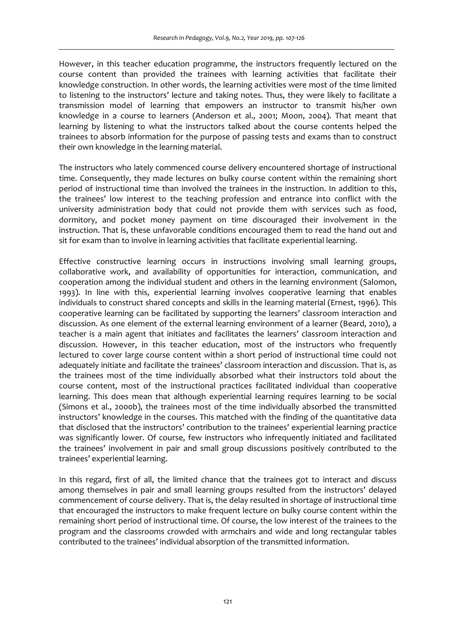However, in this teacher education programme, the instructors frequently lectured on the course content than provided the trainees with learning activities that facilitate their knowledge construction. In other words, the learning activities were most of the time limited to listening to the instructors' lecture and taking notes. Thus, they were likely to facilitate a transmission model of learning that empowers an instructor to transmit his/her own knowledge in a course to learners (Anderson et al., 2001; Moon, 2004). That meant that learning by listening to what the instructors talked about the course contents helped the trainees to absorb information for the purpose of passing tests and exams than to construct their own knowledge in the learning material.

The instructors who lately commenced course delivery encountered shortage of instructional time. Consequently, they made lectures on bulky course content within the remaining short period of instructional time than involved the trainees in the instruction. In addition to this, the trainees' low interest to the teaching profession and entrance into conflict with the university administration body that could not provide them with services such as food, dormitory, and pocket money payment on time discouraged their involvement in the instruction. That is, these unfavorable conditions encouraged them to read the hand out and sit for exam than to involve in learning activities that facilitate experiential learning.

Effective constructive learning occurs in instructions involving small learning groups, collaborative work, and availability of opportunities for interaction, communication, and cooperation among the individual student and others in the learning environment (Salomon, 1993). In line with this, experiential learning involves cooperative learning that enables individuals to construct shared concepts and skills in the learning material (Ernest, 1996). This cooperative learning can be facilitated by supporting the learners' classroom interaction and discussion. As one element of the external learning environment of a learner (Beard, 2010), a teacher is a main agent that initiates and facilitates the learners' classroom interaction and discussion. However, in this teacher education, most of the instructors who frequently lectured to cover large course content within a short period of instructional time could not adequately initiate and facilitate the trainees' classroom interaction and discussion. That is, as the trainees most of the time individually absorbed what their instructors told about the course content, most of the instructional practices facilitated individual than cooperative learning. This does mean that although experiential learning requires learning to be social (Simons et al., 2000b), the trainees most of the time individually absorbed the transmitted instructors' knowledge in the courses. This matched with the finding of the quantitative data that disclosed that the instructors' contribution to the trainees' experiential learning practice was significantly lower. Of course, few instructors who infrequently initiated and facilitated the trainees' involvement in pair and small group discussions positively contributed to the trainees' experiential learning.

In this regard, first of all, the limited chance that the trainees got to interact and discuss among themselves in pair and small learning groups resulted from the instructors' delayed commencement of course delivery. That is, the delay resulted in shortage of instructional time that encouraged the instructors to make frequent lecture on bulky course content within the remaining short period of instructional time. Of course, the low interest of the trainees to the program and the classrooms crowded with armchairs and wide and long rectangular tables contributed to the trainees' individual absorption of the transmitted information.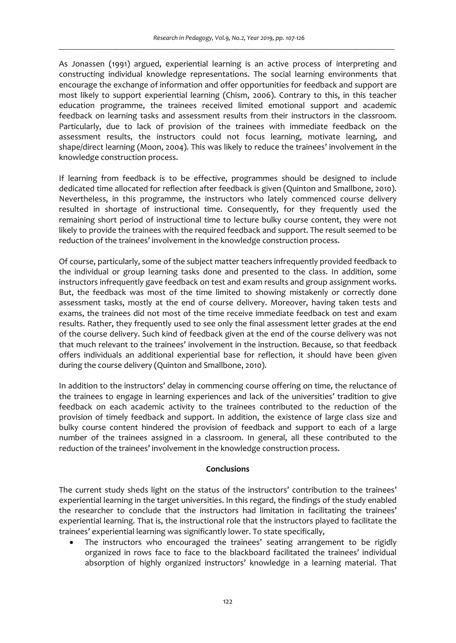As Jonassen (1991) argued, experiential learning is an active process of interpreting and constructing individual knowledge representations. The social learning environments that encourage the exchange of information and offer opportunities for feedback and support are most likely to support experiential learning (Chism, 2006). Contrary to this, in this teacher education programme, the trainees received limited emotional support and academic feedback on learning tasks and assessment results from their instructors in the classroom. Particularly, due to lack of provision of the trainees with immediate feedback on the assessment results, the instructors could not focus learning, motivate learning, and shape/direct learning (Moon, 2004). This was likely to reduce the trainees' involvement in the knowledge construction process.

If learning from feedback is to be effective, programmes should be designed to include dedicated time allocated for reflection after feedback is given (Quinton and Smallbone, 2010). Nevertheless, in this programme, the instructors who lately commenced course delivery resulted in shortage of instructional time. Consequently, for they frequently used the remaining short period of instructional time to lecture bulky course content, they were not likely to provide the trainees with the required feedback and support. The result seemed to be reduction of the trainees' involvement in the knowledge construction process.

Of course, particularly, some of the subject matter teachers infrequently provided feedback to the individual or group learning tasks done and presented to the class. In addition, some instructors infrequently gave feedback on test and exam results and group assignment works. But, the feedback was most of the time limited to showing mistakenly or correctly done assessment tasks, mostly at the end of course delivery. Moreover, having taken tests and exams, the trainees did not most of the time receive immediate feedback on test and exam results. Rather, they frequently used to see only the final assessment letter grades at the end of the course delivery. Such kind of feedback given at the end of the course delivery was not that much relevant to the trainees' involvement in the instruction. Because, so that feedback offers individuals an additional experiential base for reflection, it should have been given during the course delivery (Quinton and Smallbone, 2010).

In addition to the instructors' delay in commencing course offering on time, the reluctance of the trainees to engage in learning experiences and lack of the universities' tradition to give feedback on each academic activity to the trainees contributed to the reduction of the provision of timely feedback and support. In addition, the existence of large class size and bulky course content hindered the provision of feedback and support to each of a large number of the trainees assigned in a classroom. In general, all these contributed to the reduction of the trainees' involvement in the knowledge construction process.

# **Conclusions**

The current study sheds light on the status of the instructors' contribution to the trainees' experiential learning in the target universities. In this regard, the findings of the study enabled the researcher to conclude that the instructors had limitation in facilitating the trainees' experiential learning. That is, the instructional role that the instructors played to facilitate the trainees' experiential learning was significantly lower. To state specifically,

The instructors who encouraged the trainees' seating arrangement to be rigidly organized in rows face to face to the blackboard facilitated the trainees' individual absorption of highly organized instructors' knowledge in a learning material. That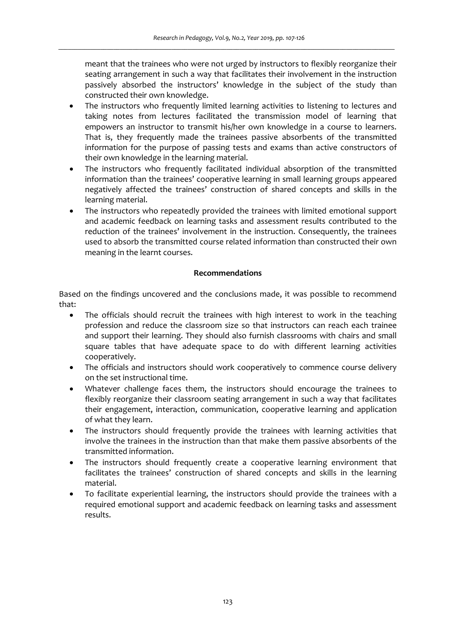meant that the trainees who were not urged by instructors to flexibly reorganize their seating arrangement in such a way that facilitates their involvement in the instruction passively absorbed the instructors' knowledge in the subject of the study than constructed their own knowledge.

- The instructors who frequently limited learning activities to listening to lectures and taking notes from lectures facilitated the transmission model of learning that empowers an instructor to transmit his/her own knowledge in a course to learners. That is, they frequently made the trainees passive absorbents of the transmitted information for the purpose of passing tests and exams than active constructors of their own knowledge in the learning material.
- The instructors who frequently facilitated individual absorption of the transmitted information than the trainees' cooperative learning in small learning groups appeared negatively affected the trainees' construction of shared concepts and skills in the learning material.
- The instructors who repeatedly provided the trainees with limited emotional support and academic feedback on learning tasks and assessment results contributed to the reduction of the trainees' involvement in the instruction. Consequently, the trainees used to absorb the transmitted course related information than constructed their own meaning in the learnt courses.

## **Recommendations**

Based on the findings uncovered and the conclusions made, it was possible to recommend that:

- The officials should recruit the trainees with high interest to work in the teaching profession and reduce the classroom size so that instructors can reach each trainee and support their learning. They should also furnish classrooms with chairs and small square tables that have adequate space to do with different learning activities cooperatively.
- The officials and instructors should work cooperatively to commence course delivery on the set instructional time.
- Whatever challenge faces them, the instructors should encourage the trainees to flexibly reorganize their classroom seating arrangement in such a way that facilitates their engagement, interaction, communication, cooperative learning and application of what they learn.
- The instructors should frequently provide the trainees with learning activities that involve the trainees in the instruction than that make them passive absorbents of the transmitted information.
- The instructors should frequently create a cooperative learning environment that facilitates the trainees' construction of shared concepts and skills in the learning material.
- To facilitate experiential learning, the instructors should provide the trainees with a required emotional support and academic feedback on learning tasks and assessment results.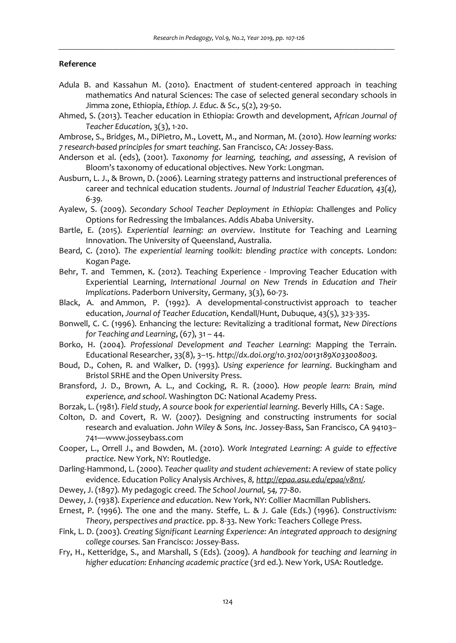#### **Reference**

- Adula B. and Kassahun M. (2010). Enactment of student-centered approach in teaching mathematics And natural Sciences: The case of selected general secondary schools in Jimma zone, Ethiopia, *Ethiop. J. Educ. & Sc.,* 5(2), 29-50.
- Ahmed, S. (2013). Teacher education in Ethiopia: Growth and development, *African Journal of Teacher Education*, 3(3), 1-20.
- Ambrose, S., Bridges, M., DiPietro, M., Lovett, M., and Norman, M. (2010). *How learning works: 7 research-based principles for smart teaching*. San Francisco, CA: Jossey-Bass.
- Anderson et al. (eds), (2001). *Taxonomy for learning, teaching, and assessing*, A revision of Bloom's taxonomy of educational objectives. New York: Longman.
- Ausburn, L. J., & Brown, D. (2006). Learning strategy patterns and instructional preferences of career and technical education students. *Journal of Industrial Teacher Education, 43(4), 6-39.*
- Ayalew, S. (2009). *Secondary School Teacher Deployment in Ethiopia*: Challenges and Policy Options for Redressing the Imbalances. Addis Ababa University.
- Bartle, E. (2015). *Experiential learning: an overview*. Institute for Teaching and Learning Innovation. The University of Queensland, Australia.
- Beard, C. (2010). *The experiential learning toolkit: blending practice with concepts*. London: Kogan Page.
- Behr, T. and Temmen, K. (2012). Teaching Experience Improving Teacher Education with Experiential Learning, *International Journal on New Trends in Education and Their Implications*. Paderborn University, Germany, 3(3), 60-73.
- Black, A. and Ammon, P. (1992). A developmental-constructivist approach to teacher education, *Journal of Teacher Education*, Kendall/Hunt, Dubuque, 43(5), 323-335.
- Bonwell, C. C. (1996). Enhancing the lecture: Revitalizing a traditional format, *New Directions for Teaching and Learning*, (67), 31 – 44.
- Borko, H. (2004). *Professional Development and Teacher Learning*: Mapping the Terrain. Educational Researcher, 33(8), 3–15. *http://dx.doi.org/10.3102/0013189X033008003.*
- Boud, D., Cohen, R. and Walker, D. (1993). *Using experience for learning*. Buckingham and Bristol SRHE and the Open University Press.
- Bransford, J. D., Brown, A. L., and Cocking, R. R. (2000). *How people learn: Brain, mind experience, and school*. Washington DC: National Academy Press.
- Borzak, L. (1981). *Field study, A source book for experiential learning*. Beverly Hills, CA : Sage.
- Colton, D. and Covert, R. W. (2007). Designing and constructing instruments for social research and evaluation. *John Wiley & Sons, Inc*. Jossey-Bass, San Francisco, CA 94103– 741—www.josseybass.com
- Cooper, L., Orrell J., and Bowden, M. (2010). *Work Integrated Learning: A guide to effective practice.* New York, NY: Routledge.
- Darling-Hammond, L. (2000). *Teacher quality and student achievement*: A review of state policy evidence. Education Policy Analysis Archives, *8, http://epaa.asu.edu/epaa/v8n1/.*
- Dewey, J. (1897). My pedagogic creed. *The School Journal, 54,* 77-80.
- Dewey, J. (1938). *Experience and education*. New York, NY: Collier Macmillan Publishers.
- Ernest, P. (1996). The one and the many. Steffe, L. & J. Gale (Eds.) (1996). *Constructivism: Theory, perspectives and practice*. pp. 8-33. New York: Teachers College Press.
- Fink, L. D. (2003). *Creating Significant Learning Experience: An integrated approach to designing college courses.* San Francisco: Jossey-Bass.
- Fry, H., Ketteridge, S., and Marshall, S (Eds). (2009). *A handbook for teaching and learning in higher education: Enhancing academic practice* (3rd ed.). New York, USA: Routledge.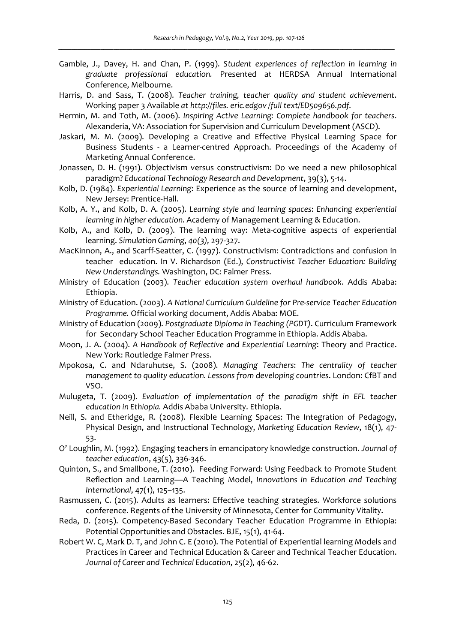- Gamble, J., Davey, H. and Chan, P. (1999). *Student experiences of reflection in learning in graduate professional education.* Presented at HERDSA Annual International Conference, Melbourne.
- Harris, D. and Sass, T. (2008). *Teacher training, teacher quality and student achievement*. Working paper 3 Available *at http://files. eric.edgov /full text/ED509656.pdf.*
- Hermin, M. and Toth, M. (2006). *Inspiring Active Learning: Complete handbook for teachers*. Alexanderia, VA: Association for Supervision and Curriculum Development (ASCD).
- Jaskari, M. M. (2009). Developing a Creative and Effective Physical Learning Space for Business Students - a Learner-centred Approach. Proceedings of the Academy of Marketing Annual Conference.
- Jonassen, D. H. (1991). Objectivism versus constructivism: Do we need a new philosophical paradigm? *Educational Technology Research and Development*, 39(3), 5-14.
- Kolb, D. (1984). *Experiential Learning*: Experience as the source of learning and development, New Jersey: Prentice-Hall.
- Kolb, A. Y., and Kolb, D. A. (2005). *Learning style and learning spaces*: *Enhancing experiential learning in higher education.* Academy of Management Learning & Education.
- Kolb, A., and Kolb, D. (2009). The learning way: Meta-cognitive aspects of experiential learning. *Simulation Gaming*, *40(3),* 297-327.
- MacKinnon, A., and Scarff-Seatter, C. (1997). Constructivism: Contradictions and confusion in teacher education. In V. Richardson (Ed.), *Constructivist Teacher Education: Building New Understandings.* Washington, DC: Falmer Press.
- Ministry of Education (2003). *Teacher education system overhaul handbook*. Addis Ababa: Ethiopia.
- Ministry of Education. (2003). *A National Curriculum Guideline for Pre-service Teacher Education Programme.* Official working document, Addis Ababa: MOE.
- Ministry of Education (2009). *Postgraduate Diploma in Teaching (PGDT)*. Curriculum Framework for Secondary School Teacher Education Programme in Ethiopia. Addis Ababa.
- Moon, J. A. (2004). *A Handbook of Reflective and Experiential Learning*: Theory and Practice. New York: Routledge Falmer Press.
- Mpokosa, C. and Ndaruhutse, S. (2008). *Managing Teachers*: *The centrality of teacher management to quality education. Lessons from developing countries*. London: CfBT and VSO.
- Mulugeta, T. (2009). *Evaluation of implementation of the paradigm shift in EFL teacher education in Ethiopia.* Addis Ababa University. Ethiopia.
- Neill, S. and Etheridge, R. (2008). Flexible Learning Spaces: The Integration of Pedagogy, Physical Design, and Instructional Technology, *Marketing Education Review*, 18(1), 47- 53.
- O' Loughlin, M. (1992). Engaging teachers in emancipatory knowledge construction. *Journal of teacher education*, 43(5), 336-346.
- Quinton, S., and Smallbone, T. (2010). Feeding Forward: Using Feedback to Promote Student Reflection and Learning—A Teaching Model, *Innovations in Education and Teaching International*, 47(1), 125–135.
- Rasmussen, C. (2015). Adults as learners: Effective teaching strategies. Workforce solutions conference. Regents of the University of Minnesota, Center for Community Vitality.
- Reda, D. (2015). Competency-Based Secondary Teacher Education Programme in Ethiopia: Potential Opportunities and Obstacles. BJE, 15(1), 41-64.
- Robert W. C, Mark D. T, and John C. E (2010). The Potential of Experiential learning Models and Practices in Career and Technical Education & Career and Technical Teacher Education. *Journal of Career and Technical Education*, 25(2), 46-62.